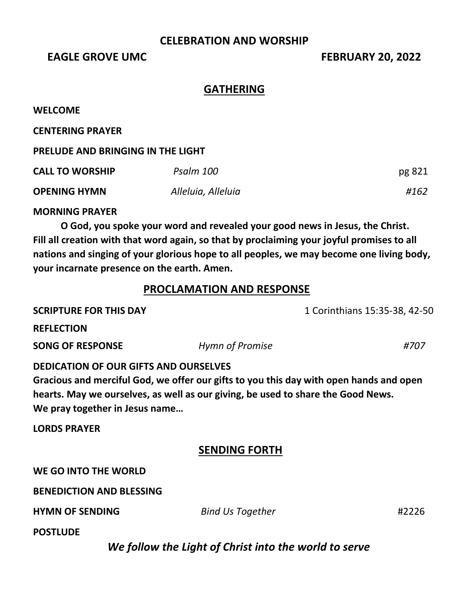### **CELEBRATION AND WORSHIP**

**EAGLE GROVE UMC** FEBRUARY 20, 2022

## **GATHERING**

#### **WELCOME**

**CENTERING PRAYER** 

### **PRELUDE AND BRINGING IN THE LIGHT**

| <b>CALL TO WORSHIP</b> | Psalm 100          | pg 821 |
|------------------------|--------------------|--------|
| <b>OPENING HYMN</b>    | Alleluia, Alleluia | #162   |

### **MORNING PRAYER**

**O God, you spoke your word and revealed your good news in Jesus, the Christ. Fill all creation with that word again, so that by proclaiming your joyful promises to all nations and singing of your glorious hope to all peoples, we may become one living body, your incarnate presence on the earth. Amen.**

## **PROCLAMATION AND RESPONSE**

| <b>SCRIPTURE FOR THIS DAY</b>                                                                                                                                                                                                                                | 1 Corinthians 15:35-38, 42-50 |  |       |
|--------------------------------------------------------------------------------------------------------------------------------------------------------------------------------------------------------------------------------------------------------------|-------------------------------|--|-------|
| <b>REFLECTION</b>                                                                                                                                                                                                                                            |                               |  |       |
| <b>SONG OF RESPONSE</b>                                                                                                                                                                                                                                      | Hymn of Promise               |  | #707  |
| <b>DEDICATION OF OUR GIFTS AND OURSELVES</b><br>Gracious and merciful God, we offer our gifts to you this day with open hands and open<br>hearts. May we ourselves, as well as our giving, be used to share the Good News.<br>We pray together in Jesus name |                               |  |       |
| <b>LORDS PRAYER</b>                                                                                                                                                                                                                                          |                               |  |       |
|                                                                                                                                                                                                                                                              | <b>SENDING FORTH</b>          |  |       |
| WE GO INTO THE WORLD                                                                                                                                                                                                                                         |                               |  |       |
| <b>BENEDICTION AND BLESSING</b>                                                                                                                                                                                                                              |                               |  |       |
| <b>HYMN OF SENDING</b>                                                                                                                                                                                                                                       | <b>Bind Us Together</b>       |  | #2226 |
| <b>POSTLUDE</b>                                                                                                                                                                                                                                              |                               |  |       |

*We follow the Light of Christ into the world to serve*